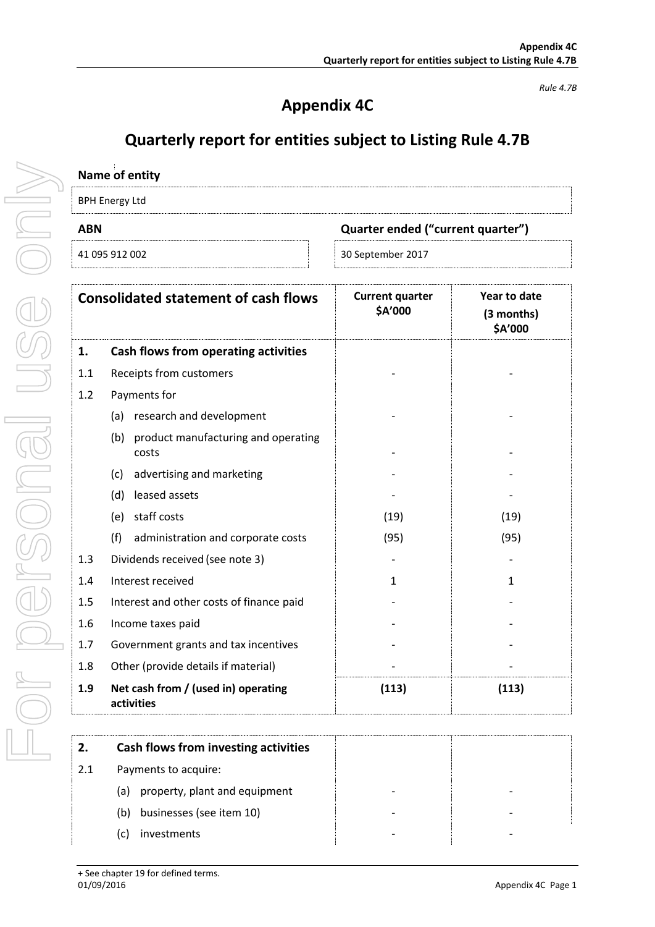## **Appendix 4C**

*Rule 4.7B*

## **Quarterly report for entities subject to Listing Rule 4.7B**

|     | Name of entity                                    |                                   |                                       |
|-----|---------------------------------------------------|-----------------------------------|---------------------------------------|
|     | <b>BPH Energy Ltd</b>                             |                                   |                                       |
| ABN |                                                   | Quarter ended ("current quarter") |                                       |
|     | 41 095 912 002                                    | 30 September 2017                 |                                       |
|     | <b>Consolidated statement of cash flows</b>       | <b>Current quarter</b><br>\$A'000 | Year to date<br>(3 months)<br>\$A'000 |
| 1.  | Cash flows from operating activities              |                                   |                                       |
| 1.1 | Receipts from customers                           |                                   |                                       |
| 1.2 | Payments for                                      |                                   |                                       |
|     | (a) research and development                      |                                   |                                       |
|     | (b) product manufacturing and operating<br>costs  |                                   |                                       |
|     | (c) advertising and marketing                     |                                   |                                       |
|     | (d) leased assets                                 |                                   |                                       |
|     | (e) staff costs                                   | (19)                              | (19)                                  |
|     | (f)<br>administration and corporate costs         | (95)                              | (95)                                  |
| 1.3 | Dividends received (see note 3)                   |                                   |                                       |
| 1.4 | Interest received                                 | 1                                 | 1                                     |
| 1.5 | Interest and other costs of finance paid          |                                   |                                       |
| 1.6 | Income taxes paid                                 |                                   |                                       |
| 1.7 | Government grants and tax incentives              |                                   |                                       |
| 1.8 | Other (provide details if material)               |                                   |                                       |
| 1.9 | Net cash from / (used in) operating<br>activities | (113)                             | (113)                                 |

| 2.  | Cash flows from investing activities |  |
|-----|--------------------------------------|--|
| 2.1 | Payments to acquire:                 |  |
|     | property, plant and equipment<br>(a) |  |
|     | businesses (see item 10)<br>(b)      |  |
|     | investments                          |  |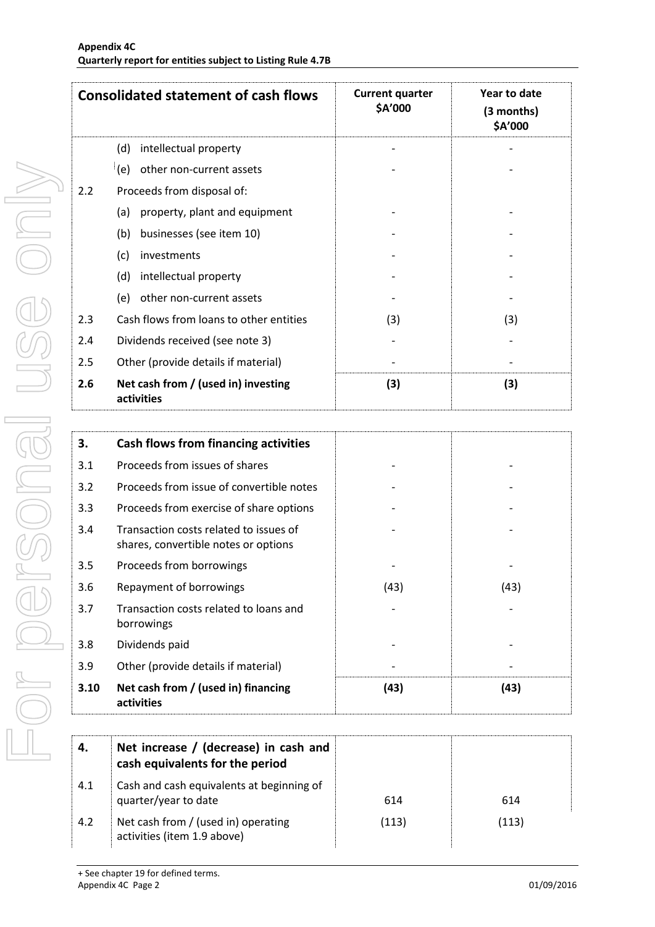|     | <b>Consolidated statement of cash flows</b>       | <b>Current quarter</b><br>\$A'000 | Year to date<br>(3 months)<br>\$A'000 |
|-----|---------------------------------------------------|-----------------------------------|---------------------------------------|
|     | intellectual property<br>(d)                      |                                   |                                       |
|     | (e)<br>other non-current assets                   |                                   |                                       |
| 2.2 | Proceeds from disposal of:                        |                                   |                                       |
|     | property, plant and equipment<br>(a)              |                                   |                                       |
|     | businesses (see item 10)<br>(b)                   |                                   |                                       |
|     | (c)<br>investments                                |                                   |                                       |
|     | (d)<br>intellectual property                      |                                   |                                       |
|     | other non-current assets<br>(e)                   |                                   |                                       |
| 2.3 | Cash flows from loans to other entities           | (3)                               | (3)                                   |
| 2.4 | Dividends received (see note 3)                   |                                   |                                       |
| 2.5 | Other (provide details if material)               |                                   |                                       |
| 2.6 | Net cash from / (used in) investing<br>activities | (3)                               | (3)                                   |

| 3.   | Cash flows from financing activities                                           |      |      |
|------|--------------------------------------------------------------------------------|------|------|
| 3.1  | Proceeds from issues of shares                                                 |      |      |
| 3.2  | Proceeds from issue of convertible notes                                       |      |      |
| 3.3  | Proceeds from exercise of share options                                        |      |      |
| 3.4  | Transaction costs related to issues of<br>shares, convertible notes or options |      |      |
| 3.5  | Proceeds from borrowings                                                       |      |      |
| 3.6  | Repayment of borrowings                                                        | (43) | (43) |
| 3.7  | Transaction costs related to loans and<br>borrowings                           |      |      |
| 3.8  | Dividends paid                                                                 |      |      |
| 3.9  | Other (provide details if material)                                            |      |      |
| 3.10 | Net cash from / (used in) financing<br>activities                              | (43) | (43) |

| 4.  | Net increase / (decrease) in cash and<br>cash equivalents for the period |       |       |
|-----|--------------------------------------------------------------------------|-------|-------|
| 4.1 | Cash and cash equivalents at beginning of<br>quarter/year to date        | 614   | 614   |
| 4.2 | Net cash from / (used in) operating<br>activities (item 1.9 above)       | (113) | (113) |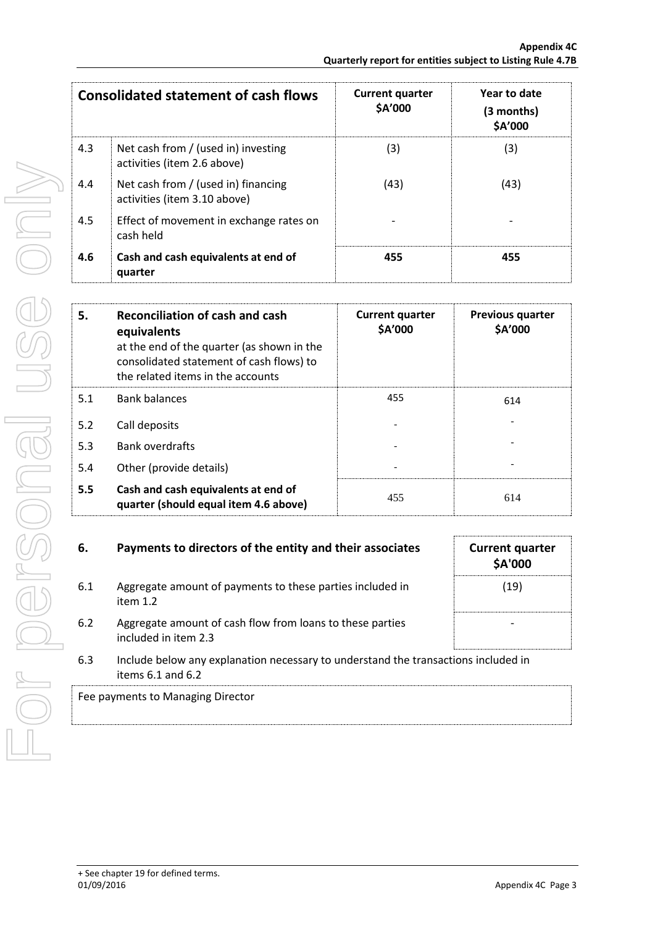|     | <b>Consolidated statement of cash flows</b>                         | <b>Current quarter</b><br>\$A'000 | Year to date<br>(3 months)<br>\$A'000 |
|-----|---------------------------------------------------------------------|-----------------------------------|---------------------------------------|
| 4.3 | Net cash from / (used in) investing<br>activities (item 2.6 above)  | (3)                               | (3)                                   |
| 4.4 | Net cash from / (used in) financing<br>activities (item 3.10 above) | (43)                              | (43)                                  |
| 4.5 | Effect of movement in exchange rates on<br>cash held                |                                   |                                       |
| 4.6 | Cash and cash equivalents at end of<br>quarter                      | 455                               | 455                                   |

| 5.  | Reconciliation of cash and cash<br>equivalents<br>at the end of the quarter (as shown in the<br>consolidated statement of cash flows) to<br>the related items in the accounts | <b>Current quarter</b><br>\$A'000 | <b>Previous quarter</b><br>\$A'000 |
|-----|-------------------------------------------------------------------------------------------------------------------------------------------------------------------------------|-----------------------------------|------------------------------------|
| 5.1 | <b>Bank balances</b>                                                                                                                                                          | 455                               | 614                                |
| 5.2 | Call deposits                                                                                                                                                                 |                                   |                                    |
| 5.3 | <b>Bank overdrafts</b>                                                                                                                                                        |                                   |                                    |
| 5.4 | Other (provide details)                                                                                                                                                       |                                   |                                    |
| 5.5 | Cash and cash equivalents at end of<br>quarter (should equal item 4.6 above)                                                                                                  | 455                               | 614                                |

| 6.  | Payments to directors of the entity and their associates                                                    | <b>Current quarter</b><br><b>\$A'000</b> |
|-----|-------------------------------------------------------------------------------------------------------------|------------------------------------------|
| 6.1 | Aggregate amount of payments to these parties included in<br>item $1.2$                                     | (19)                                     |
| 6.2 | Aggregate amount of cash flow from loans to these parties<br>included in item 2.3                           |                                          |
| 6.3 | Include below any explanation necessary to understand the transactions included in<br>items $6.1$ and $6.2$ |                                          |
|     | Fee payments to Managing Director                                                                           |                                          |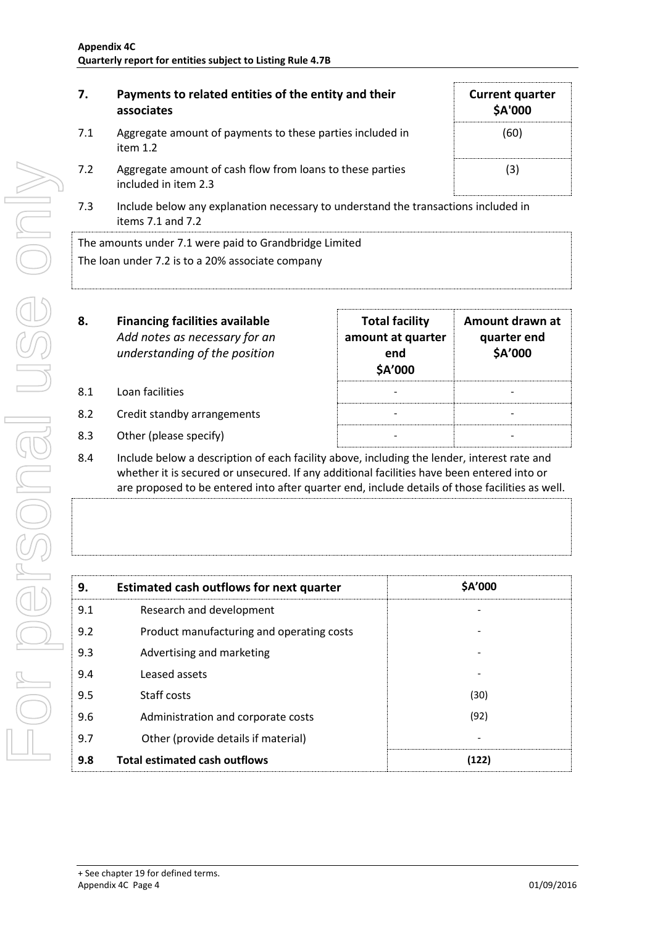| 7.  | Payments to related entities of the entity and their<br>associates                | <b>Current quarter</b><br>\$A'000 |
|-----|-----------------------------------------------------------------------------------|-----------------------------------|
| 7.1 | Aggregate amount of payments to these parties included in<br>item $1.2$           | (60)                              |
| 7.2 | Aggregate amount of cash flow from loans to these parties<br>included in item 2.3 | (3)                               |

7.3 Include below any explanation necessary to understand the transactions included in items 7.1 and 7.2

The amounts under 7.1 were paid to Grandbridge Limited The loan under 7.2 is to a 20% associate company

| 8.  | <b>Financing facilities available</b><br>Add notes as necessary for an<br>understanding of the position | <b>Total facility</b><br>amount at quarter<br>end<br>\$A'000 | Amount drawn at<br>quarter end<br>\$A'000 |
|-----|---------------------------------------------------------------------------------------------------------|--------------------------------------------------------------|-------------------------------------------|
| 8.1 | Loan facilities                                                                                         |                                                              |                                           |
| 8.2 | Credit standby arrangements                                                                             |                                                              |                                           |
|     |                                                                                                         |                                                              |                                           |

- 8.3 Other (please specify)
- 8.4 Include below a description of each facility above, including the lender, interest rate and whether it is secured or unsecured. If any additional facilities have been entered into or are proposed to be entered into after quarter end, include details of those facilities as well.

| 9.  | <b>Estimated cash outflows for next quarter</b> | \$A'000 |
|-----|-------------------------------------------------|---------|
| 9.1 | Research and development                        |         |
| 9.2 | Product manufacturing and operating costs       |         |
| 9.3 | Advertising and marketing                       |         |
| 9.4 | Leased assets                                   |         |
| 9.5 | Staff costs                                     | (30)    |
| 9.6 | Administration and corporate costs              | (92)    |
| 9.7 | Other (provide details if material)             |         |
| 9.8 | <b>Total estimated cash outflows</b>            | (122)   |